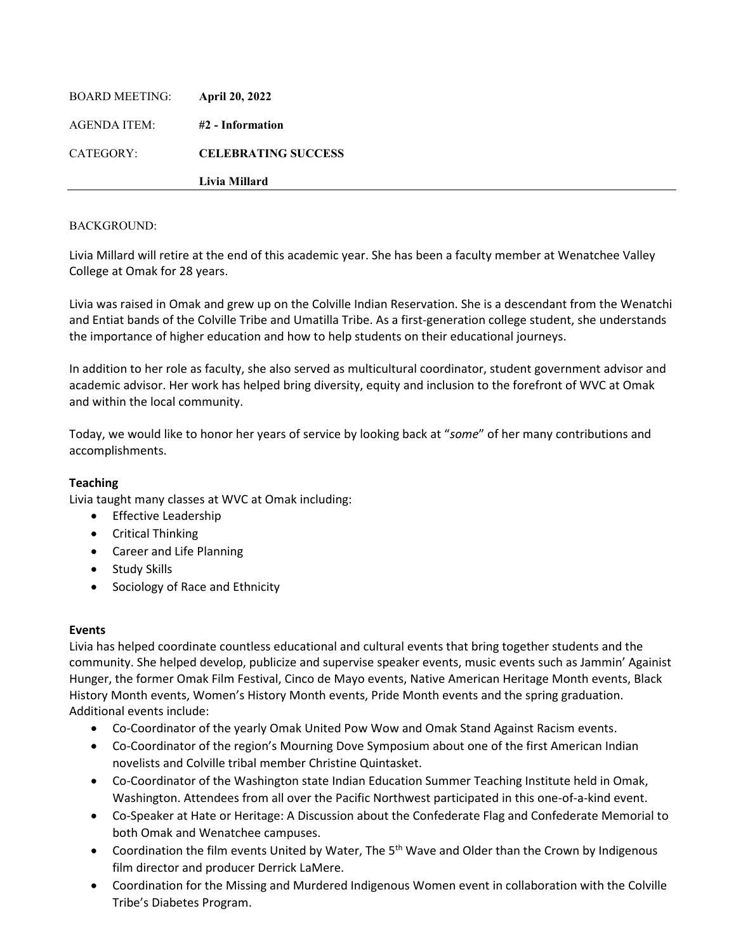|                       | Livia Millard              |
|-----------------------|----------------------------|
| CATEGORY:             | <b>CELEBRATING SUCCESS</b> |
| AGENDA ITEM:          | #2 - Information           |
| <b>BOARD MEETING:</b> | <b>April 20, 2022</b>      |

Livia Millard will retire at the end of this academic year. She has been a faculty member at Wenatchee Valley College at Omak for 28 years.

Livia was raised in Omak and grew up on the Colville Indian Reservation. She is a descendant from the Wenatchi and Entiat bands of the Colville Tribe and Umatilla Tribe. As a first-generation college student, she understands the importance of higher education and how to help students on their educational journeys.

In addition to her role as faculty, she also served as multicultural coordinator, student government advisor and academic advisor. Her work has helped bring diversity, equity and inclusion to the forefront of WVC at Omak and within the local community.

Today, we would like to honor her years of service by looking back at "*some*" of her many contributions and accomplishments.

# **Teaching**

Livia taught many classes at WVC at Omak including:

- Effective Leadership
- Critical Thinking
- Career and Life Planning
- Study Skills
- Sociology of Race and Ethnicity

# **Events**

Livia has helped coordinate countless educational and cultural events that bring together students and the community. She helped develop, publicize and supervise speaker events, music events such as Jammin' Againist Hunger, the former Omak Film Festival, Cinco de Mayo events, Native American Heritage Month events, Black History Month events, Women's History Month events, Pride Month events and the spring graduation. Additional events include:

- Co-Coordinator of the yearly Omak United Pow Wow and Omak Stand Against Racism events.
- Co-Coordinator of the region's Mourning Dove Symposium about one of the first American Indian novelists and Colville tribal member Christine Quintasket.
- Co-Coordinator of the Washington state Indian Education Summer Teaching Institute held in Omak, Washington. Attendees from all over the Pacific Northwest participated in this one-of-a-kind event.
- Co-Speaker at Hate or Heritage: A Discussion about the Confederate Flag and Confederate Memorial to both Omak and Wenatchee campuses.
- Coordination the film events United by Water, The  $5<sup>th</sup>$  Wave and Older than the Crown by Indigenous film director and producer Derrick LaMere.
- Coordination for the Missing and Murdered Indigenous Women event in collaboration with the Colville Tribe's Diabetes Program.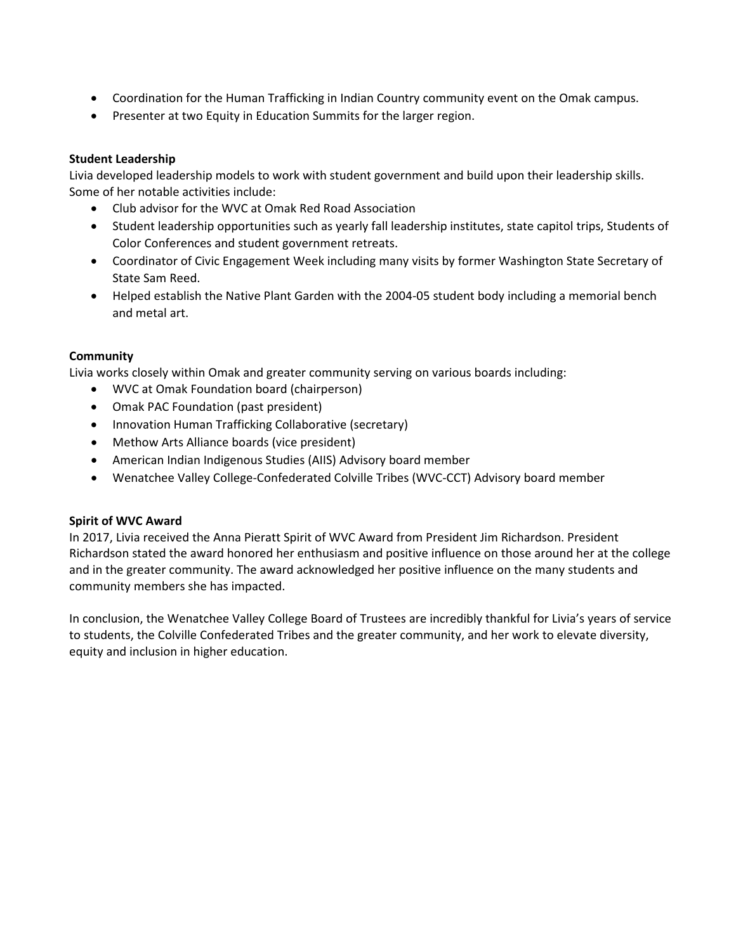- Coordination for the Human Trafficking in Indian Country community event on the Omak campus.
- Presenter at two Equity in Education Summits for the larger region.

# **Student Leadership**

Livia developed leadership models to work with student government and build upon their leadership skills. Some of her notable activities include:

- Club advisor for the WVC at Omak Red Road Association
- Student leadership opportunities such as yearly fall leadership institutes, state capitol trips, Students of Color Conferences and student government retreats.
- Coordinator of Civic Engagement Week including many visits by former Washington State Secretary of State Sam Reed.
- Helped establish the Native Plant Garden with the 2004-05 student body including a memorial bench and metal art.

# **Community**

Livia works closely within Omak and greater community serving on various boards including:

- WVC at Omak Foundation board (chairperson)
- Omak PAC Foundation (past president)
- Innovation Human Trafficking Collaborative (secretary)
- Methow Arts Alliance boards (vice president)
- American Indian Indigenous Studies (AIIS) Advisory board member
- Wenatchee Valley College-Confederated Colville Tribes (WVC-CCT) Advisory board member

# **Spirit of WVC Award**

In 2017, Livia received the Anna Pieratt Spirit of WVC Award from President Jim Richardson. President Richardson stated the award honored her enthusiasm and positive influence on those around her at the college and in the greater community. The award acknowledged her positive influence on the many students and community members she has impacted.

In conclusion, the Wenatchee Valley College Board of Trustees are incredibly thankful for Livia's years of service to students, the Colville Confederated Tribes and the greater community, and her work to elevate diversity, equity and inclusion in higher education.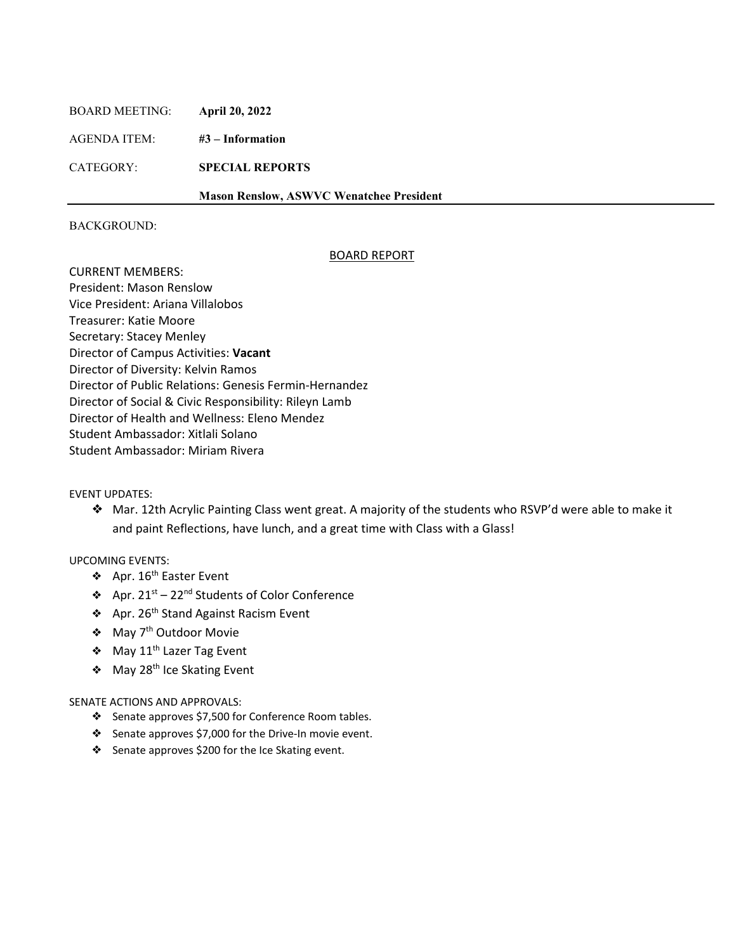| <b>BOARD MEETING:</b> | <b>April 20, 2022</b>                           |  |
|-----------------------|-------------------------------------------------|--|
| AGENDA ITEM:          | $#3$ – Information                              |  |
| CATEGORY:             | <b>SPECIAL REPORTS</b>                          |  |
|                       | <b>Mason Renslow, ASWVC Wenatchee President</b> |  |
|                       |                                                 |  |

#### BOARD REPORT

CURRENT MEMBERS: President: Mason Renslow Vice President: Ariana Villalobos Treasurer: Katie Moore Secretary: Stacey Menley Director of Campus Activities: **Vacant** Director of Diversity: Kelvin Ramos Director of Public Relations: Genesis Fermin-Hernandez Director of Social & Civic Responsibility: Rileyn Lamb Director of Health and Wellness: Eleno Mendez Student Ambassador: Xitlali Solano Student Ambassador: Miriam Rivera

#### EVENT UPDATES:

❖ Mar. 12th Acrylic Painting Class went great. A majority of the students who RSVP'd were able to make it and paint Reflections, have lunch, and a great time with Class with a Glass!

## UPCOMING EVENTS:

- ❖ Apr. 16th Easter Event
- ❖ Apr. 21st 22nd Students of Color Conference
- ❖ Apr. 26th Stand Against Racism Event
- ❖ May 7th Outdoor Movie
- ❖ May 11th Lazer Tag Event
- ❖ May 28th Ice Skating Event

#### SENATE ACTIONS AND APPROVALS:

- ❖ Senate approves \$7,500 for Conference Room tables.
- ❖ Senate approves \$7,000 for the Drive-In movie event.
- ❖ Senate approves \$200 for the Ice Skating event.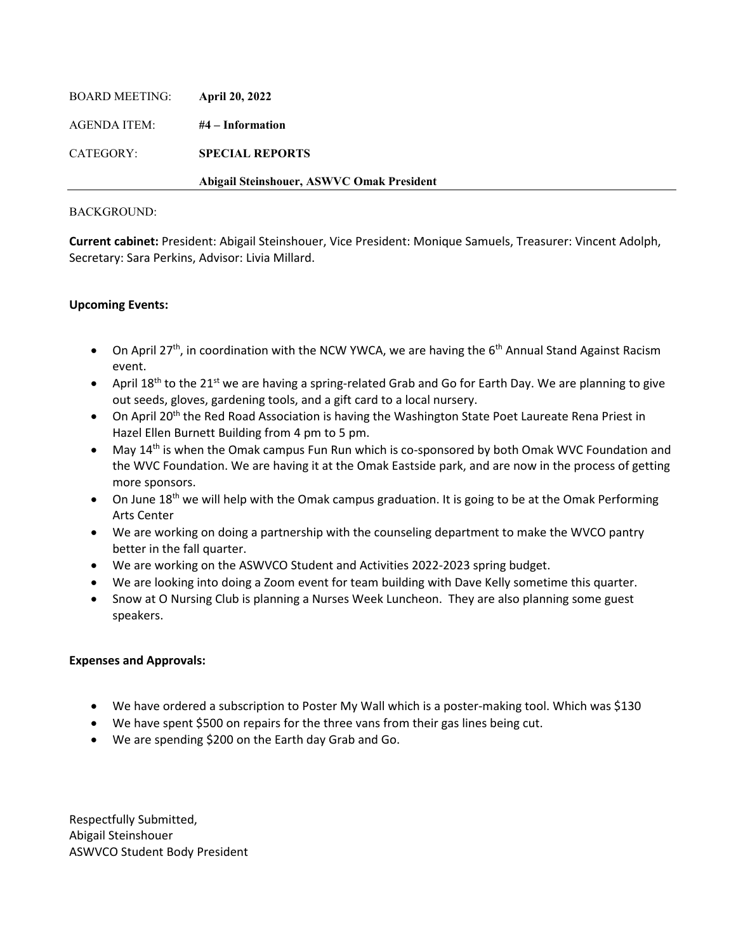|                       | Abigail Steinshouer, ASWVC Omak President |
|-----------------------|-------------------------------------------|
| CATEGORY:             | <b>SPECIAL REPORTS</b>                    |
| AGENDA ITEM:          | #4 – Information                          |
| <b>BOARD MEETING:</b> | <b>April 20, 2022</b>                     |

**Current cabinet:** President: Abigail Steinshouer, Vice President: Monique Samuels, Treasurer: Vincent Adolph, Secretary: Sara Perkins, Advisor: Livia Millard.

# **Upcoming Events:**

- On April 27<sup>th</sup>, in coordination with the NCW YWCA, we are having the  $6<sup>th</sup>$  Annual Stand Against Racism event.
- April 18<sup>th</sup> to the 21<sup>st</sup> we are having a spring-related Grab and Go for Earth Day. We are planning to give out seeds, gloves, gardening tools, and a gift card to a local nursery.
- On April 20<sup>th</sup> the Red Road Association is having the Washington State Poet Laureate Rena Priest in Hazel Ellen Burnett Building from 4 pm to 5 pm.
- May 14<sup>th</sup> is when the Omak campus Fun Run which is co-sponsored by both Omak WVC Foundation and the WVC Foundation. We are having it at the Omak Eastside park, and are now in the process of getting more sponsors.
- On June  $18<sup>th</sup>$  we will help with the Omak campus graduation. It is going to be at the Omak Performing Arts Center
- We are working on doing a partnership with the counseling department to make the WVCO pantry better in the fall quarter.
- We are working on the ASWVCO Student and Activities 2022-2023 spring budget.
- We are looking into doing a Zoom event for team building with Dave Kelly sometime this quarter.
- Snow at O Nursing Club is planning a Nurses Week Luncheon. They are also planning some guest speakers.

# **Expenses and Approvals:**

- We have ordered a subscription to Poster My Wall which is a poster-making tool. Which was \$130
- We have spent \$500 on repairs for the three vans from their gas lines being cut.
- We are spending \$200 on the Earth day Grab and Go.

Respectfully Submitted, Abigail Steinshouer ASWVCO Student Body President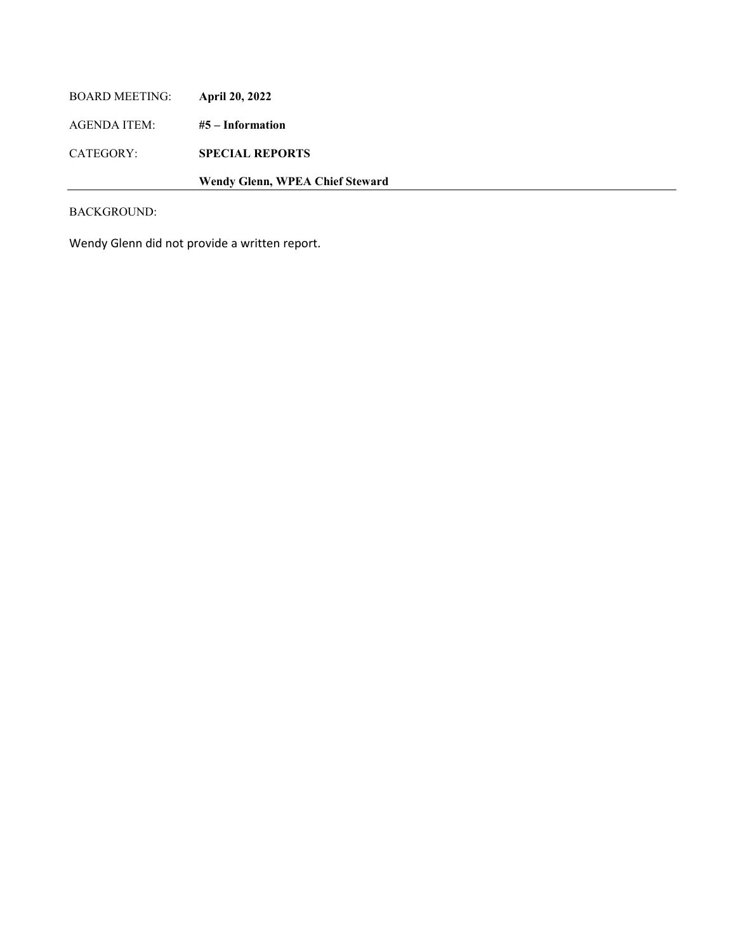| Wendy Glenn, WPEA Chief Steward |  |
|---------------------------------|--|

Wendy Glenn did not provide a written report.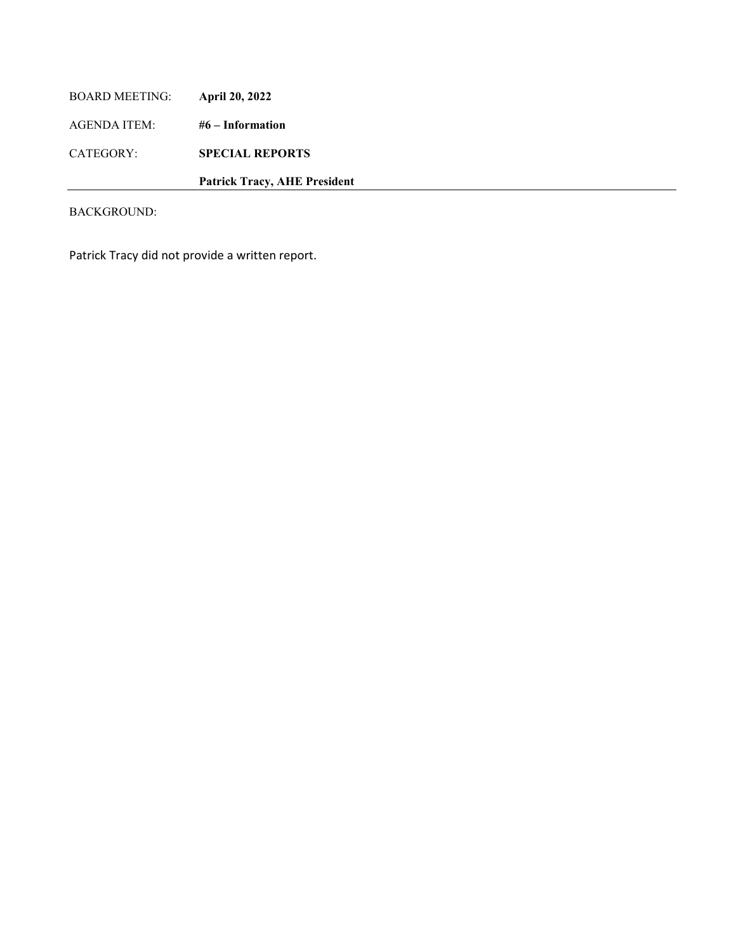| <b>BOARD MEETING:</b> | April 20, 2022                      |
|-----------------------|-------------------------------------|
| AGENDA ITEM:          | $#6$ – Information                  |
| CATEGORY:             | <b>SPECIAL REPORTS</b>              |
|                       | <b>Patrick Tracy, AHE President</b> |

Patrick Tracy did not provide a written report.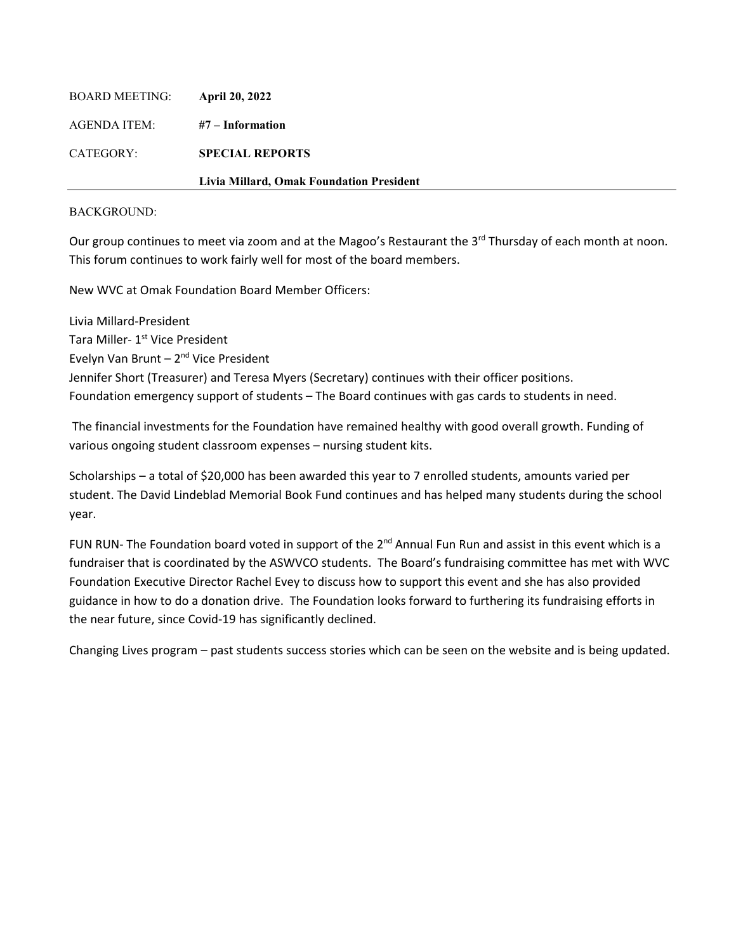|                | Livia Millard, Omak Foundation President |
|----------------|------------------------------------------|
| CATEGORY:      | <b>SPECIAL REPORTS</b>                   |
| AGENDA ITEM:   | #7 – Information                         |
| BOARD MEETING: | <b>April 20, 2022</b>                    |

Our group continues to meet via zoom and at the Magoo's Restaurant the  $3<sup>rd</sup>$  Thursday of each month at noon. This forum continues to work fairly well for most of the board members.

New WVC at Omak Foundation Board Member Officers:

Livia Millard-President Tara Miller- 1<sup>st</sup> Vice President Evelyn Van Brunt – 2nd Vice President Jennifer Short (Treasurer) and Teresa Myers (Secretary) continues with their officer positions. Foundation emergency support of students – The Board continues with gas cards to students in need.

The financial investments for the Foundation have remained healthy with good overall growth. Funding of various ongoing student classroom expenses – nursing student kits.

Scholarships – a total of \$20,000 has been awarded this year to 7 enrolled students, amounts varied per student. The David Lindeblad Memorial Book Fund continues and has helped many students during the school year.

FUN RUN- The Foundation board voted in support of the  $2^{nd}$  Annual Fun Run and assist in this event which is a fundraiser that is coordinated by the ASWVCO students. The Board's fundraising committee has met with WVC Foundation Executive Director Rachel Evey to discuss how to support this event and she has also provided guidance in how to do a donation drive. The Foundation looks forward to furthering its fundraising efforts in the near future, since Covid-19 has significantly declined.

Changing Lives program – past students success stories which can be seen on the website and is being updated.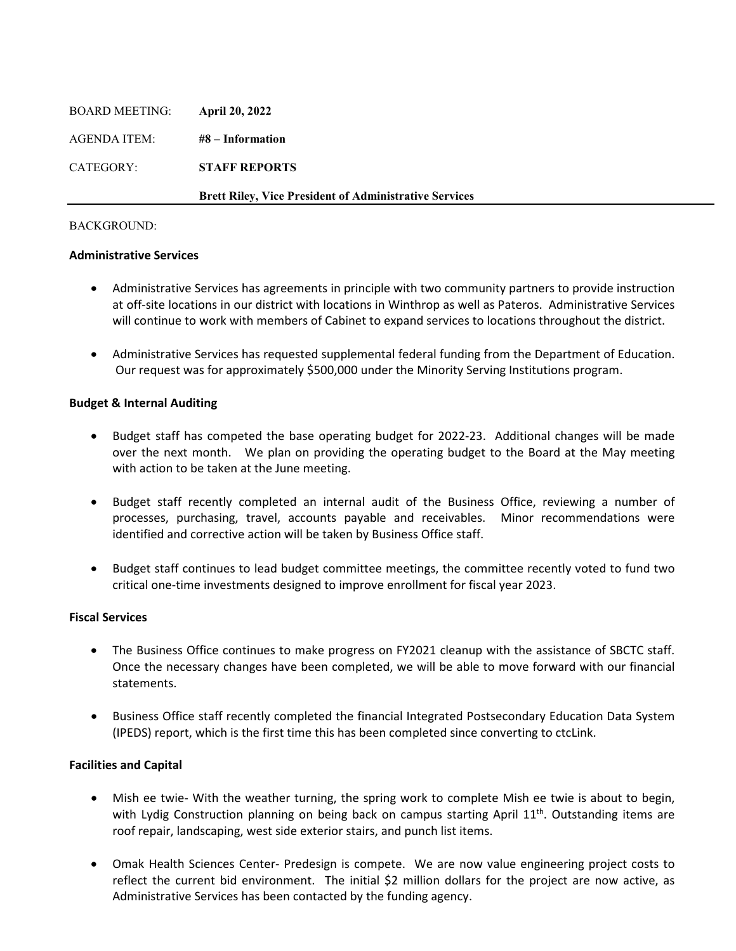|                       | <b>Brett Riley, Vice President of Administrative Services</b> |
|-----------------------|---------------------------------------------------------------|
| CATEGORY:             | <b>STAFF REPORTS</b>                                          |
| AGENDA ITEM:          | $#8$ – Information                                            |
| <b>BOARD MEETING:</b> | <b>April 20, 2022</b>                                         |

#### **Administrative Services**

- Administrative Services has agreements in principle with two community partners to provide instruction at off-site locations in our district with locations in Winthrop as well as Pateros. Administrative Services will continue to work with members of Cabinet to expand services to locations throughout the district.
- Administrative Services has requested supplemental federal funding from the Department of Education. Our request was for approximately \$500,000 under the Minority Serving Institutions program.

#### **Budget & Internal Auditing**

- Budget staff has competed the base operating budget for 2022-23. Additional changes will be made over the next month. We plan on providing the operating budget to the Board at the May meeting with action to be taken at the June meeting.
- Budget staff recently completed an internal audit of the Business Office, reviewing a number of processes, purchasing, travel, accounts payable and receivables. Minor recommendations were identified and corrective action will be taken by Business Office staff.
- Budget staff continues to lead budget committee meetings, the committee recently voted to fund two critical one-time investments designed to improve enrollment for fiscal year 2023.

## **Fiscal Services**

- The Business Office continues to make progress on FY2021 cleanup with the assistance of SBCTC staff. Once the necessary changes have been completed, we will be able to move forward with our financial statements.
- Business Office staff recently completed the financial Integrated Postsecondary Education Data System (IPEDS) report, which is the first time this has been completed since converting to ctcLink.

#### **Facilities and Capital**

- Mish ee twie- With the weather turning, the spring work to complete Mish ee twie is about to begin, with Lydig Construction planning on being back on campus starting April  $11<sup>th</sup>$ . Outstanding items are roof repair, landscaping, west side exterior stairs, and punch list items.
- Omak Health Sciences Center- Predesign is compete. We are now value engineering project costs to reflect the current bid environment. The initial \$2 million dollars for the project are now active, as Administrative Services has been contacted by the funding agency.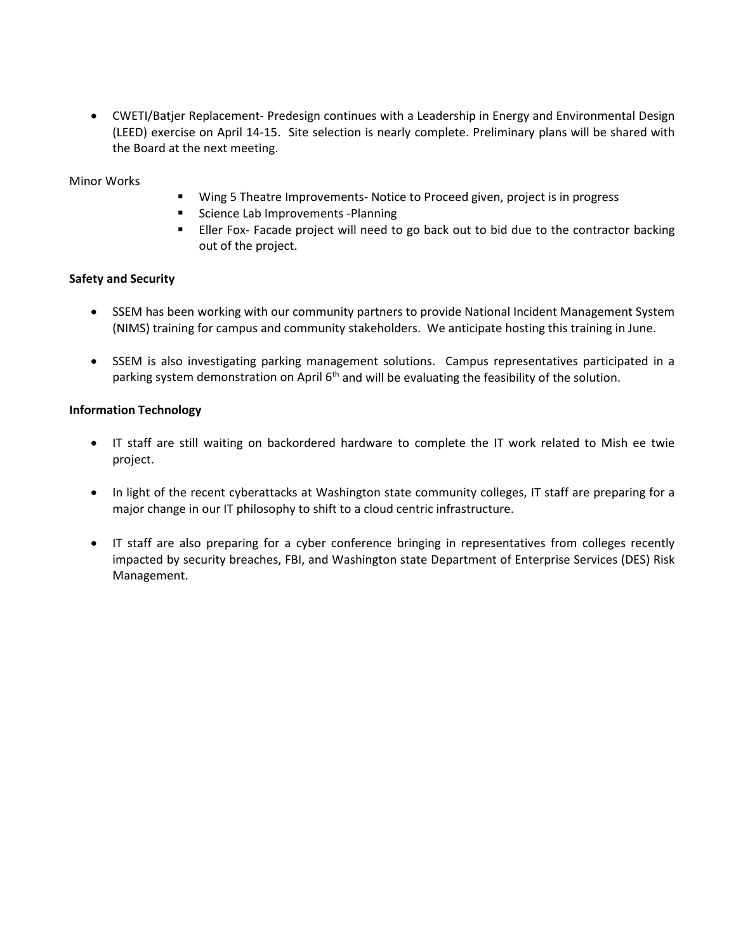• CWETI/Batjer Replacement- Predesign continues with a Leadership in Energy and Environmental Design (LEED) exercise on April 14-15. Site selection is nearly complete. Preliminary plans will be shared with the Board at the next meeting.

## Minor Works

- **Wing 5 Theatre Improvements- Notice to Proceed given, project is in progress**
- **Science Lab Improvements -Planning**
- **Eller Fox- Facade project will need to go back out to bid due to the contractor backing** out of the project.

## **Safety and Security**

- SSEM has been working with our community partners to provide National Incident Management System (NIMS) training for campus and community stakeholders. We anticipate hosting this training in June.
- SSEM is also investigating parking management solutions. Campus representatives participated in a parking system demonstration on April  $6<sup>th</sup>$  and will be evaluating the feasibility of the solution.

## **Information Technology**

- IT staff are still waiting on backordered hardware to complete the IT work related to Mish ee twie project.
- In light of the recent cyberattacks at Washington state community colleges, IT staff are preparing for a major change in our IT philosophy to shift to a cloud centric infrastructure.
- IT staff are also preparing for a cyber conference bringing in representatives from colleges recently impacted by security breaches, FBI, and Washington state Department of Enterprise Services (DES) Risk Management.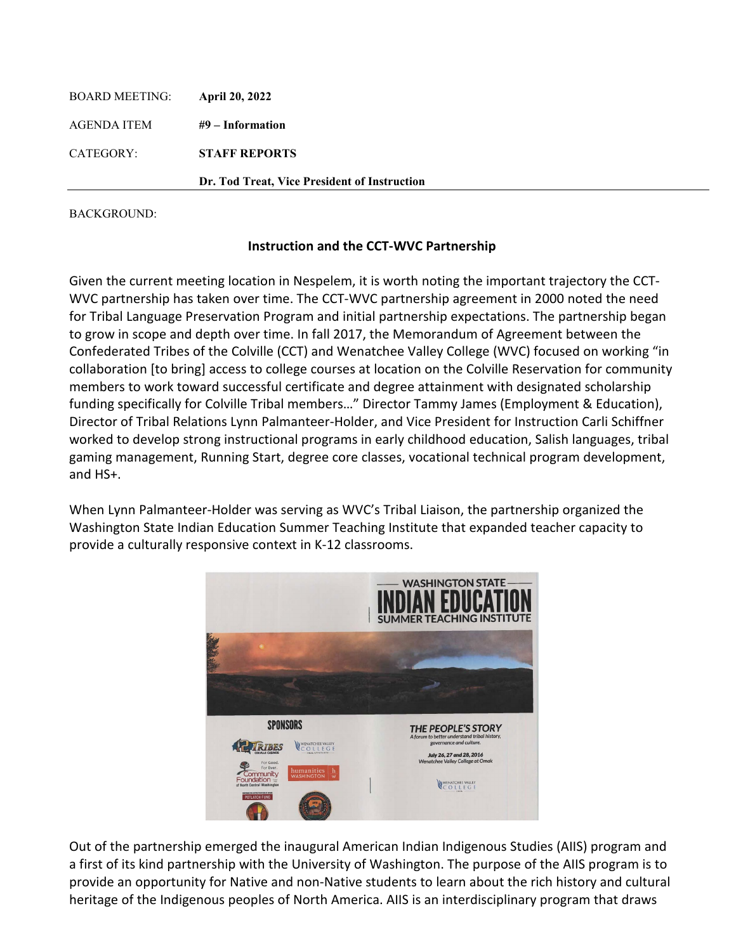| BOARD MEETING: | <b>April 20, 2022</b>                        |
|----------------|----------------------------------------------|
| AGENDA ITEM    | #9 – Information                             |
| CATEGORY:      | <b>STAFF REPORTS</b>                         |
|                | Dr. Tod Treat, Vice President of Instruction |

# **Instruction and the CCT-WVC Partnership**

Given the current meeting location in Nespelem, it is worth noting the important trajectory the CCT-WVC partnership has taken over time. The CCT-WVC partnership agreement in 2000 noted the need for Tribal Language Preservation Program and initial partnership expectations. The partnership began to grow in scope and depth over time. In fall 2017, the Memorandum of Agreement between the Confederated Tribes of the Colville (CCT) and Wenatchee Valley College (WVC) focused on working "in collaboration [to bring] access to college courses at location on the Colville Reservation for community members to work toward successful certificate and degree attainment with designated scholarship funding specifically for Colville Tribal members…" Director Tammy James (Employment & Education), Director of Tribal Relations Lynn Palmanteer-Holder, and Vice President for Instruction Carli Schiffner worked to develop strong instructional programs in early childhood education, Salish languages, tribal gaming management, Running Start, degree core classes, vocational technical program development, and HS+.

When Lynn Palmanteer-Holder was serving as WVC's Tribal Liaison, the partnership organized the Washington State Indian Education Summer Teaching Institute that expanded teacher capacity to provide a culturally responsive context in K-12 classrooms.



Out of the partnership emerged the inaugural American Indian Indigenous Studies (AIIS) program and a first of its kind partnership with the University of Washington. The purpose of the AIIS program is to provide an opportunity for Native and non-Native students to learn about the rich history and cultural heritage of the Indigenous peoples of North America. AIIS is an interdisciplinary program that draws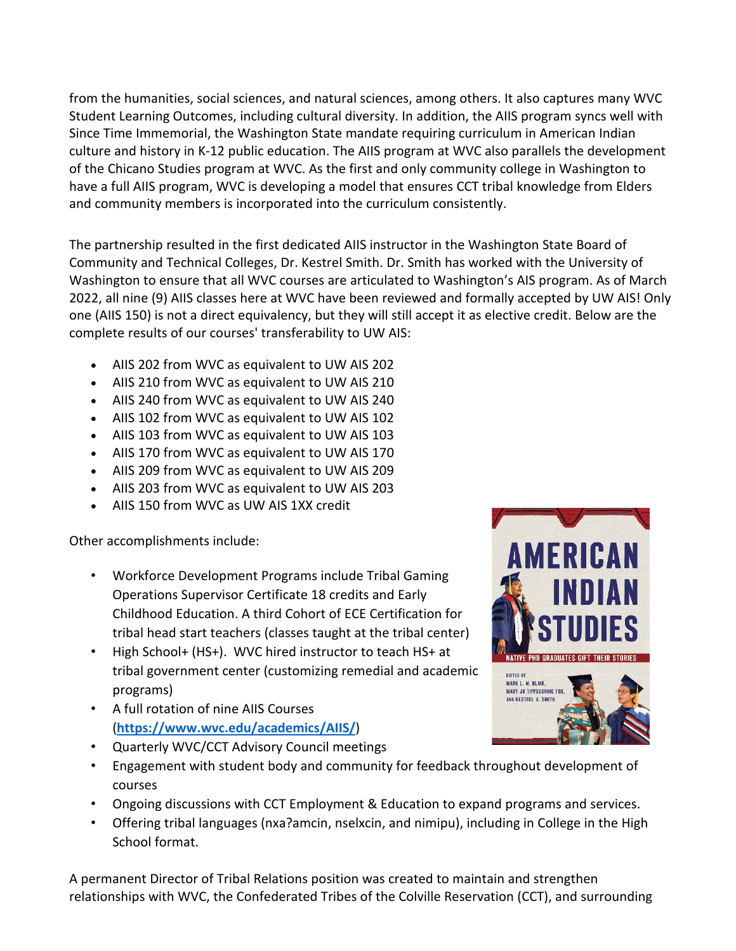from the humanities, social sciences, and natural sciences, among others. It also captures many WVC Student Learning Outcomes, including cultural diversity. In addition, the AIIS program syncs well with Since Time Immemorial, the Washington State mandate requiring curriculum in American Indian culture and history in K-12 public education. The AIIS program at WVC also parallels the development of the Chicano Studies program at WVC. As the first and only community college in Washington to have a full AIIS program, WVC is developing a model that ensures CCT tribal knowledge from Elders and community members is incorporated into the curriculum consistently.

The partnership resulted in the first dedicated AIIS instructor in the Washington State Board of Community and Technical Colleges, Dr. Kestrel Smith. Dr. Smith has worked with the University of Washington to ensure that all WVC courses are articulated to Washington's AIS program. As of March 2022, all nine (9) AIIS classes here at WVC have been reviewed and formally accepted by UW AIS! Only one (AIIS 150) is not a direct equivalency, but they will still accept it as elective credit. Below are the complete results of our courses' transferability to UW AIS:

- AIIS 202 from WVC as equivalent to UW AIS 202
- AIIS 210 from WVC as equivalent to UW AIS 210
- AIIS 240 from WVC as equivalent to UW AIS 240
- AIIS 102 from WVC as equivalent to UW AIS 102
- AIIS 103 from WVC as equivalent to UW AIS 103
- AIIS 170 from WVC as equivalent to UW AIS 170
- AIIS 209 from WVC as equivalent to UW AIS 209
- AIIS 203 from WVC as equivalent to UW AIS 203
- AIIS 150 from WVC as UW AIS 1XX credit

Other accomplishments include:

- Workforce Development Programs include Tribal Gaming Operations Supervisor Certificate 18 credits and Early Childhood Education. A third Cohort of ECE Certification for tribal head start teachers (classes taught at the tribal center)
- High School+ (HS+). WVC hired instructor to teach HS+ at tribal government center (customizing remedial and academic programs)
- A full rotation of nine AIIS Courses (**<https://www.wvc.edu/academics/AIIS/>**)
- Quarterly WVC/CCT Advisory Council meetings
- Engagement with student body and community for feedback throughout development of courses
- Ongoing discussions with CCT Employment & Education to expand programs and services.
- Offering tribal languages (nxa?amcin, nselxcin, and nimipu), including in College in the High School format.

A permanent Director of Tribal Relations position was created to maintain and strengthen relationships with WVC, the Confederated Tribes of the Colville Reservation (CCT), and surrounding

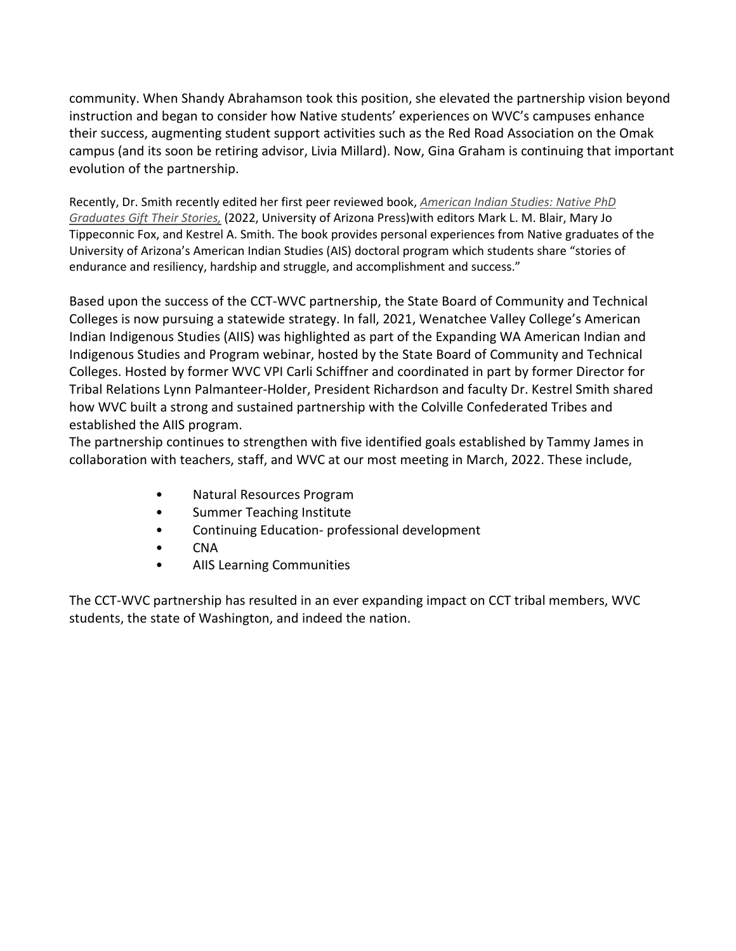community. When Shandy Abrahamson took this position, she elevated the partnership vision beyond instruction and began to consider how Native students' experiences on WVC's campuses enhance their success, augmenting student support activities such as the Red Road Association on the Omak campus (and its soon be retiring advisor, Livia Millard). Now, Gina Graham is continuing that important evolution of the partnership.

Recently, Dr. Smith recently edited her first peer reviewed book, *[American Indian Studies: Native PhD](https://nam10.safelinks.protection.outlook.com/?url=https%3A%2F%2Furldefense.com%2Fv3%2F__https%3A%2F%2Fuapress.arizona.edu%2Fbook%2Famerican-indian-studies__%3B!!CVJAgw2XxpAa!k_chJ4Q7jMqhb4epDVMunQNV0rPqEdtLrvb-XZxlrHcGSBT9j228g3ItgRCfcqhurfkIPo7iHE5yf56GMowd%24&data=04%7C01%7Cttreat%40wvc.edu%7C555d9727227047758a1d08da13f276e5%7Cfe590da28322492da44c32a1d698a506%7C0%7C0%7C637844229411557840%7CUnknown%7CTWFpbGZsb3d8eyJWIjoiMC4wLjAwMDAiLCJQIjoiV2luMzIiLCJBTiI6Ik1haWwiLCJXVCI6Mn0%3D%7C3000&sdata=kmUaFfhPw%2Fb9%2BenO24ssUxHvlXSKThmnXJ8Kr5gVjbU%3D&reserved=0)  [Graduates Gift Their Stories,](https://nam10.safelinks.protection.outlook.com/?url=https%3A%2F%2Furldefense.com%2Fv3%2F__https%3A%2F%2Fuapress.arizona.edu%2Fbook%2Famerican-indian-studies__%3B!!CVJAgw2XxpAa!k_chJ4Q7jMqhb4epDVMunQNV0rPqEdtLrvb-XZxlrHcGSBT9j228g3ItgRCfcqhurfkIPo7iHE5yf56GMowd%24&data=04%7C01%7Cttreat%40wvc.edu%7C555d9727227047758a1d08da13f276e5%7Cfe590da28322492da44c32a1d698a506%7C0%7C0%7C637844229411557840%7CUnknown%7CTWFpbGZsb3d8eyJWIjoiMC4wLjAwMDAiLCJQIjoiV2luMzIiLCJBTiI6Ik1haWwiLCJXVCI6Mn0%3D%7C3000&sdata=kmUaFfhPw%2Fb9%2BenO24ssUxHvlXSKThmnXJ8Kr5gVjbU%3D&reserved=0)* (2022, University of Arizona Press)with editors Mark L. M. Blair, Mary Jo Tippeconnic Fox, and Kestrel A. Smith. The book provides personal experiences from Native graduates of the University of Arizona's American Indian Studies (AIS) doctoral program which students share "stories of endurance and resiliency, hardship and struggle, and accomplishment and success."

Based upon the success of the CCT-WVC partnership, the State Board of Community and Technical Colleges is now pursuing a statewide strategy. In fall, 2021, Wenatchee Valley College's American Indian Indigenous Studies (AIIS) was highlighted as part of the Expanding WA American Indian and Indigenous Studies and Program webinar, hosted by the State Board of Community and Technical Colleges. Hosted by former WVC VPI Carli Schiffner and coordinated in part by former Director for Tribal Relations Lynn Palmanteer-Holder, President Richardson and faculty Dr. Kestrel Smith shared how WVC built a strong and sustained partnership with the Colville Confederated Tribes and established the AIIS program.

The partnership continues to strengthen with five identified goals established by Tammy James in collaboration with teachers, staff, and WVC at our most meeting in March, 2022. These include,

- Natural Resources Program
- Summer Teaching Institute
- Continuing Education- professional development
- CNA
- AIIS Learning Communities

The CCT-WVC partnership has resulted in an ever expanding impact on CCT tribal members, WVC students, the state of Washington, and indeed the nation.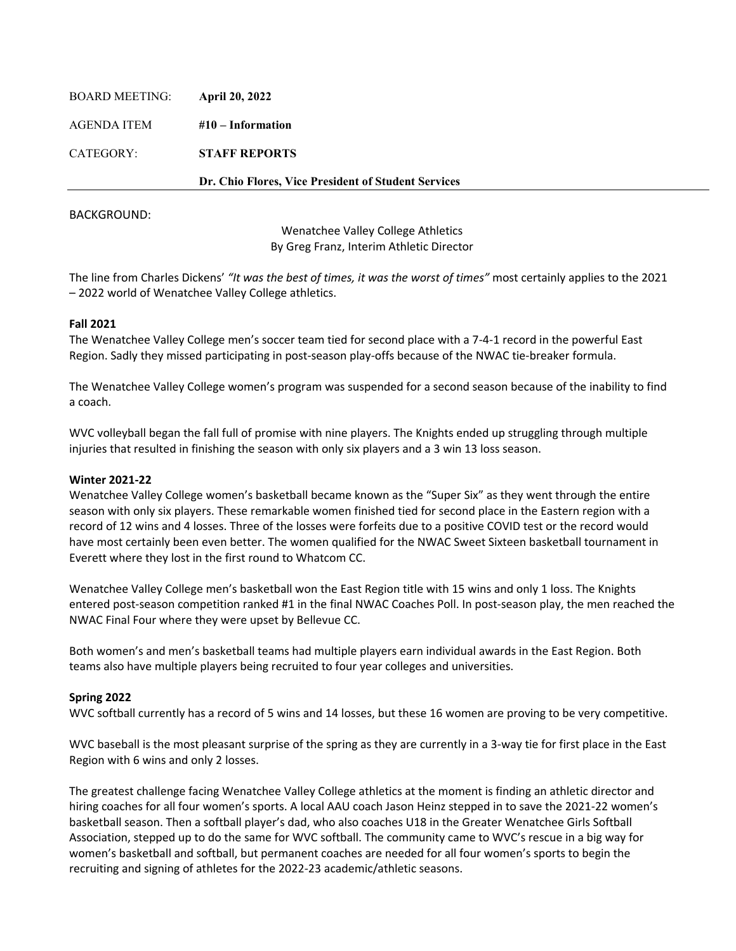| <b>BOARD MEETING:</b> | <b>April 20, 2022</b>                               |
|-----------------------|-----------------------------------------------------|
| AGENDA ITEM           | $#10$ – Information                                 |
| CATEGORY:             | <b>STAFF REPORTS</b>                                |
|                       | Dr. Chio Flores, Vice President of Student Services |
|                       |                                                     |

Wenatchee Valley College Athletics By Greg Franz, Interim Athletic Director

The line from Charles Dickens' *"It was the best of times, it was the worst of times"* most certainly applies to the 2021 – 2022 world of Wenatchee Valley College athletics.

### **Fall 2021**

The Wenatchee Valley College men's soccer team tied for second place with a 7-4-1 record in the powerful East Region. Sadly they missed participating in post-season play-offs because of the NWAC tie-breaker formula.

The Wenatchee Valley College women's program was suspended for a second season because of the inability to find a coach.

WVC volleyball began the fall full of promise with nine players. The Knights ended up struggling through multiple injuries that resulted in finishing the season with only six players and a 3 win 13 loss season.

#### **Winter 2021-22**

Wenatchee Valley College women's basketball became known as the "Super Six" as they went through the entire season with only six players. These remarkable women finished tied for second place in the Eastern region with a record of 12 wins and 4 losses. Three of the losses were forfeits due to a positive COVID test or the record would have most certainly been even better. The women qualified for the NWAC Sweet Sixteen basketball tournament in Everett where they lost in the first round to Whatcom CC.

Wenatchee Valley College men's basketball won the East Region title with 15 wins and only 1 loss. The Knights entered post-season competition ranked #1 in the final NWAC Coaches Poll. In post-season play, the men reached the NWAC Final Four where they were upset by Bellevue CC.

Both women's and men's basketball teams had multiple players earn individual awards in the East Region. Both teams also have multiple players being recruited to four year colleges and universities.

# **Spring 2022**

WVC softball currently has a record of 5 wins and 14 losses, but these 16 women are proving to be very competitive.

WVC baseball is the most pleasant surprise of the spring as they are currently in a 3-way tie for first place in the East Region with 6 wins and only 2 losses.

The greatest challenge facing Wenatchee Valley College athletics at the moment is finding an athletic director and hiring coaches for all four women's sports. A local AAU coach Jason Heinz stepped in to save the 2021-22 women's basketball season. Then a softball player's dad, who also coaches U18 in the Greater Wenatchee Girls Softball Association, stepped up to do the same for WVC softball. The community came to WVC's rescue in a big way for women's basketball and softball, but permanent coaches are needed for all four women's sports to begin the recruiting and signing of athletes for the 2022-23 academic/athletic seasons.